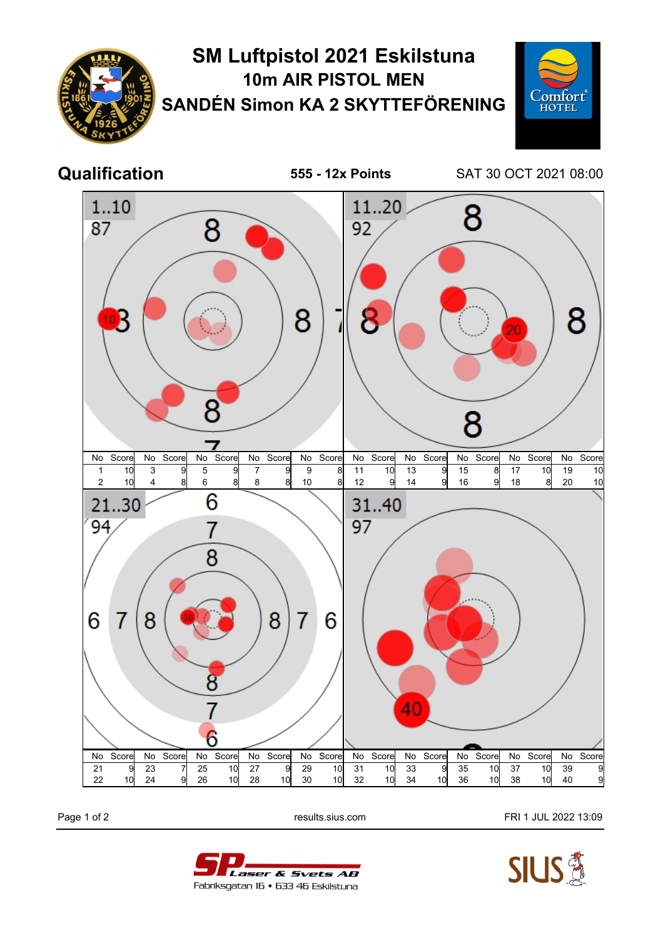

Page 1 of 2 **Page 1 of 2** results.sius.com **FRI 1 JUL 2022 13:09**